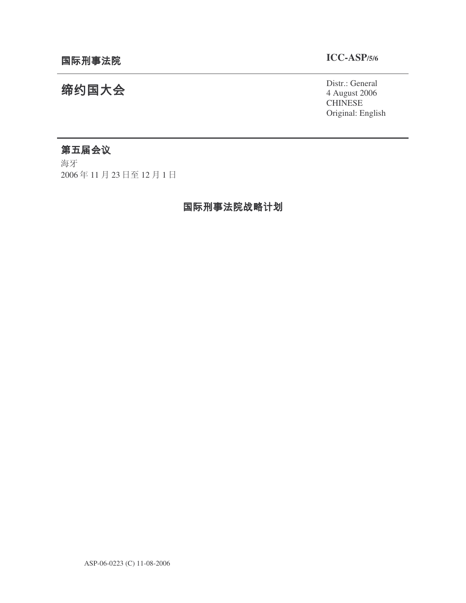## **ICC-ASP/5/6**

Distr.: General 4 August 2006 **CHINESE** Original: English

# 缔约国大会

## 第五届会议

海牙 2006年11月23日至12月1日

## 国际刑事法院战略计划

ASP-06-0223 (C) 11-08-2006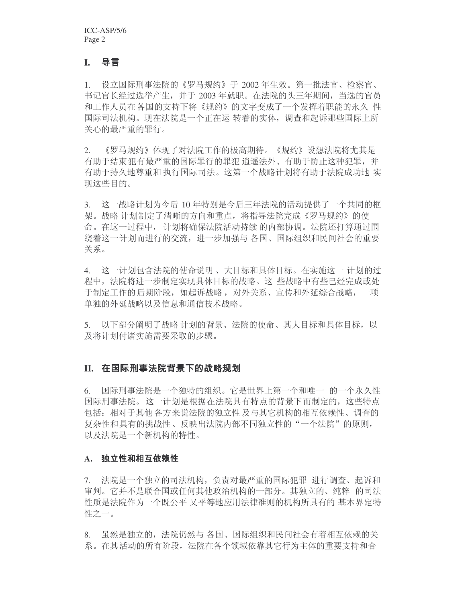## **I.**

1. 设立国际刑事法院的《罗马规约》于 2002 年生效。第一批法官、检察官、 书记官长经过选举产生,并于2003年就职。在法院的头三年期间,当选的官员 和工作人员在各国的支持下将《规约》的文字变成了一个发挥着职能的永久 性 国际司法机构。现在法院是一个正在运 转着的实体,调杳和起诉那些国际上所 关心的最严重的罪行。

2. 《罗马规约》体现了对法院工作的极高期待。《规约》设想法院将尤其是 有助于结束犯有最严重的国际罪行的罪犯 逍遥法外、有助于防止这种犯罪,并 有助于持久地尊重和 执行国际司法。这第一个战略计划将有助于法院成功地 实 现这些目的。

3. 这一战略计划为今后 10 年特别是今后三年法院的活动提供了一个共同的框 架。战略 计划制定了清晰的方向和重点, 将指导法院完成《罗马规约》的使 命。在这一过程中, 计划将确保法院活动持续 的内部协调。法院还打算通过围 绕着这一计划而进行的交流,进一步加强与各国、国际组织和民间社会的重要 关系。

4. 这一计划包含法院的使命说明、大目标和具体目标。在实施这一 计划的过 程中, 法院将进一步制定实现具体目标的战略。这 些战略中有些已经完成或处 于制定工作的后期阶段, 如起诉战略, 对外关系、宣传和外延综合战略, 一项 单独的外延战略以及信息和通信技术战略。

5. 以下部分阐明了战略 计划的背景、法院的使命、其大目标和具体目标, 以 及将计划付诸实施需要采取的步骤。

#### II. 在国际刑事法院背景下的战略规划

6. 国际刑事法院是一个独特的组织。它是世界上第一个和唯一 的一个永久性 国际刑事法院。这一计划是根据在法院具有特点的背景下而制定的, 这些特点 包括:相对于其他各方来说法院的独立性 及与其它机构的相互依赖性、调查的 复杂性和具有的挑战性、反映出法院内部不同独立性的"一个法院"的原则, 以及法院是一个新机构的特性。

#### **A.**

7. 法院是一个独立的司法机构,负责对最严重的国际犯罪 进行调查、起诉和 审判。它并不是联合国或任何其他政治机构的一部分。其独立的、纯粹 的司法 性质是法院作为一个既公平 又平等地应用法律准则的机构所具有的 基本界定特 性之一。

8. 虽然是独立的, 法院仍然与各国、国际组织和民间社会有着相互依赖的关 系。在其活动的所有阶段,法院在各个领域依靠其它行为主体的重要支持和合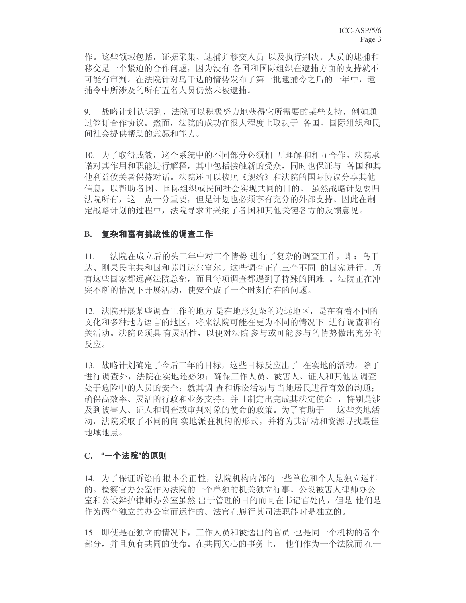作。这些领域包括, 证据采集、逮捕并移交人员 以及执行判决。人员的逮捕和 移交是一个紧迫的合作问题, 因为没有 各国和国际组织在逮捕方面的支持就不 可能有审判。在法院针对乌干达的情势发布了第一批逮捕令之后的一年中, 逮 捕令中所涉及的所有五名人员仍然未被逮捕。

9. 战略计划认识到, 法院可以积极努力地获得它所需要的某些支持, 例如通 讨签订合作协议。然而,法院的成功在很大程度上取决于 各国、国际组织和民 间社会提供帮助的意愿和能力。

10. 为了取得成效,这个系统中的不同部分必须相 互理解和相互合作。法院承 诺对其作用和职能进行解释,其中包括接触新的受众,同时也保证与 各国和其 他利益攸关者保持对话。法院还可以按照《规约》和法院的国际协议分享其他 信息, 以帮助各国、国际组织或民间社会实现共同的目的。虽然战略计划要归 法院所有, 这一点十分重要, 但是计划也必须享有充分的外部支持。因此在制 定战略计划的过程中, 法院寻求并采纳了各国和其他关键各方的反馈意见。

#### B. 复杂和富有挑战性的调查工作

11. 法院在成立后的头三年中对三个情势 进行了复杂的调查工作, 即: 乌干 达、刚果民主共和国和苏丹达尔富尔。这些调查正在三个不同 的国家进行, 所 有这些国家都远离法院总部,而且每项调查都遇到了特殊的困难 。 法院正在冲 突不断的情况下开展活动, 使安全成了一个时刻存在的问题。

12. 法院开展某些调查工作的地方 是在地形复杂的边远地区, 是在有着不同的 文化和多种地方语言的地区, 将来法院可能在更为不同的情况下 进行调查和有 关活动。法院必须具有灵活性,以便对法院参与或可能参与的情势做出充分的 反应。

13. 战略计划确定了今后三年的目标,这些目标反应出了 在实地的活动。除了 进行调查外,法院在实地还必须: 确保工作人员、被害人、证人和其他因调查 处于危险中的人员的安全; 就其调 杳和诉讼活动与 当地居民进行有效的沟通; 确保高效率、灵活的行政和业务支持: 并且制定出完成其法定使命, 特别是涉 及到被害人、证人和调查或审判对象的使命的政策。为了有助于 这些实地活 动, 法院采取了不同的向 实地派驻机构的形式, 并将为其活动和资源寻找最佳 地域地点。

#### **C.**

14. 为了保证诉讼的根本公正性, 法院机构内部的一些单位和个人是独立运作 的。检察官办公室作为法院的一个单独的机关独立行事。公设被害人律师办公 室和公设辩护律师办公室虽然 出于管理的目的而同在书记官处内,但是 他们是 作为两个独立的办公室而运作的。法官在履行其司法职能时是独立的。

15. 即使是在独立的情况下, 工作人员和被选出的官员 也是同一个机构的各个 部分,并且负有共同的使命。在共同关心的事务上,他们作为一个法院而在一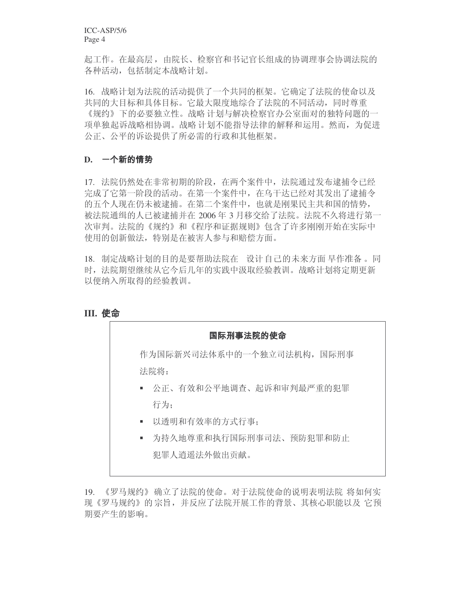ICC-ASP/5/6 Page 4

起工作。在最高层,由院长、检察官和书记官长组成的协调理事会协调法院的 各种活动, 包括制定本战略计划。

16. 战略计划为法院的活动提供了一个共同的框架。它确定了法院的使命以及 共同的大目标和具体目标。它最大限度地综合了法院的不同活动,同时尊重 《规约》下的必要独立性。战略计划与解决检察官办公室面对的独特问题的一 项单独起诉战略相协调。战略 计划不能指导法律的解释和运用。然而, 为促进 公正、公平的诉讼提供了所必需的行政和其他框架。

#### **D.**

17. 法院仍然处在非常初期的阶段, 在两个案件中, 法院通过发布逮捕令已经 完成了它第一阶段的活动。在第一个案件中, 在乌干达已经对其发出了逮捕令 的五个人现在仍未被逮捕。在第二个案件中, 也就是刚果民主共和国的情势, 被法院通缉的人已被逮捕并在 2006 年 3 月移交给了法院。法院不久将进行第一 次审判。法院的《规约》和《程序和证据规则》包含了许多刚刚开始在实际中 使用的创新做法,特别是在被害人参与和赔偿方面。

18. 制定战略计划的目的是要帮助法院在 设计自己的未来方面 早作准备 。同 时, 法院期望继续从它今后几年的实践中汲取经验教训。战略计划将定期更新 以便纳入所取得的经验教训。

#### **III.**



19. 《罗马规约》确立了法院的使命。对于法院使命的说明表明法院 将如何实 现《罗马规约》的宗旨,并反应了法院开展工作的背景、其核心职能以及 它预 期要产生的影响。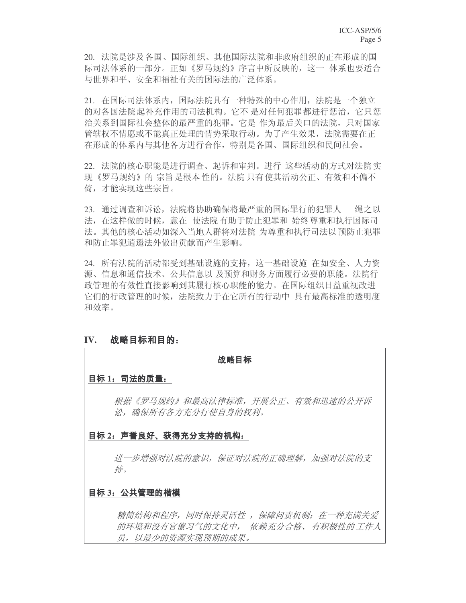20. 法院是涉及各国、国际组织、其他国际法院和非政府组织的正在形成的国 际司法体系的一部分。正如《罗马规约》序言中所反映的, 这一 体系也要适合 与世界和平、安全和福祉有关的国际法的广泛体系。

21. 在国际司法体系内, 国际法院具有一种特殊的中心作用, 法院是一个独立 的对各国法院 起补充作用的司法机构。它不 是对任何犯罪都进行惩治,它只惩 治关系到国际社会整体的最严重的犯罪。它是 作为最后关口的法院, 只对国家 管辖权不情愿或不能真正处理的情势采取行动。为了产生效果, 法院需要在正 在形成的体系内与其他各方进行合作,特别是各国、国际组织和民间社会。

22. 法院的核心职能是进行调查、起诉和审判。进行 这些活动的方式对法院实 现《罗马规约》的 宗旨是根本 性的。法院 只有使其活动公正、有效和不偏不 倚,才能实现这些宗旨。

23. 通过调查和诉讼, 法院将协助确保将最严重的国际罪行的犯罪人 绳之以 法, 在这样做的时候, 意在 使法院有助于防止犯罪和 始终尊重和执行国际司 法。其他的核心活动如深入当地人群将对法院 为尊重和执行司法以 预防止犯罪 和防止罪犯逍遥法外做出贡献而产生影响。

24. 所有法院的活动都受到基础设施的支持,这一基础设施 在如安全、人力资 源、信息和通信技术、公共信息以 及预算和财务方面履行必要的职能。法院行 政管理的有效性直接影响到其履行核心职能的能力。在国际组织日益重视改进 它们的行政管理的时候,法院致力于在它所有的行动中 具有最高标准的透明度 和效率。

#### **IV.** 战略目标和目的:

#### 战略目标

#### **目标 1: 司法的质量:**

根据《罗马规约》和最高法律标准,开展公正、有效和迅速的公开诉 讼,确保所有各方充分行使自身的权利。

#### 目标 2: 声誉良好、获得充分支持的机构:

进一步增强对法院的意识,保证对法院的正确理解,加强对法院的支 持。

#### 目标 3: 公共管理的楷模

精简结构和程序,同时保持灵活性,保障问责机制;在一种充满关爱 的环境和没有官僚习气的文化中, 依赖充分合格、有积极性的工作人 员,以最少的资源实现预期的成果。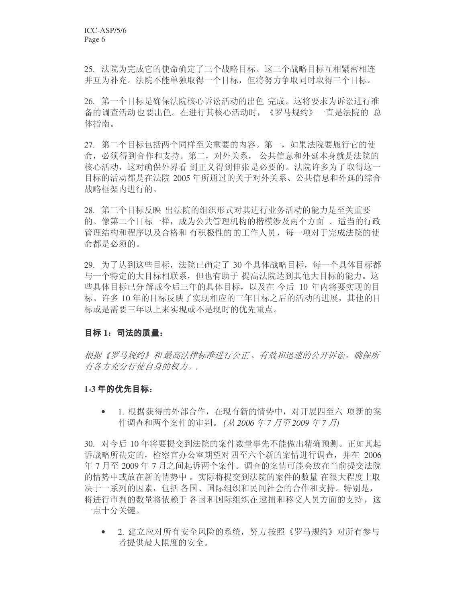25. 法院为完成它的使命确定了三个战略目标。这三个战略目标互相紧密相连 并互为补充。法院不能单独取得一个目标,但将努力争取同时取得三个目标。

26. 第一个目标是确保法院核心诉讼活动的出色宗成。这将要求为诉讼进行准 备的调查活动也要出色。在进行其核心活动时,《罗马规约》一直是法院的总 体指南。

27. 第二个目标包括两个同样至关重要的内容。第一, 如果法院要履行它的使 命, 必须得到合作和支持。第二, 对外关系, 公共信息和外延本身就是法院的 核心活动, 这对确保外界看 到正义得到伸张是必要的。法院许多为了取得这一 目标的活动都是在法院 2005 年所通过的关于对外关系、公共信息和外延的综合 战略框架内进行的。

28. 第三个目标反映 出法院的组织形式对其进行业务活动的能力是至关重要 的。像第二个目标一样,成为公共管理机构的楷模涉及两个方面。 适当的行政 管理结构和程序以及合格和 有积极性的的工作人员, 每一项对于完成法院的使 命都是必须的。

29. 为了达到这些目标, 法院已确定了 30 个具体战略目标, 每一个具体目标都 与一个特定的大目标相联系,但也有助于 提高法院达到其他大目标的能力。这 些具体目标已分 解成今后三年的具体目标,以及在 今后 10 年内将要实现的目 标。许多 10 年的目标反映了实现相应的三年目标之后的活动的进展, 其他的目 标或是需要三年以上来实现或不是现时的优先重点。

#### 目标 1: 司法的质量:

根据《罗马规约》和最高法律标准进行公正、有效和迅速的公开诉讼,确保所 有各方充分行使自身的权力。.

#### 1-3 年的优先目标:

• 1. 根据获得的外部合作, 在现有新的情势中, 对开展四至六 项新的案 件调查和两个案件的审判。(从2006年7月至2009年7月)

30. 对今后 10 年将要提交到法院的案件数量事先不能做出精确预测。正如其起 诉战略所决定的,检察官办公室期望对四至六个新的案情进行调查,并在 2006 年7月至2009年7月之间起诉两个案件。调查的案情可能会放在当前提交法院 的情势中或放在新的情势中。实际将提交到法院的案件的数量 在很大程度上取 决于一系列的因素,包括 各国、国际组织和民间社会的合作和支持。特别是, 将进行审判的数量将依赖于 各国和国际组织在逮捕和移交人员方面的支持, 这 一点十分关键。

• 2. 建立应对所有安全风险的系统, 努力按照《罗马规约》对所有参与 者提供最大限度的安全。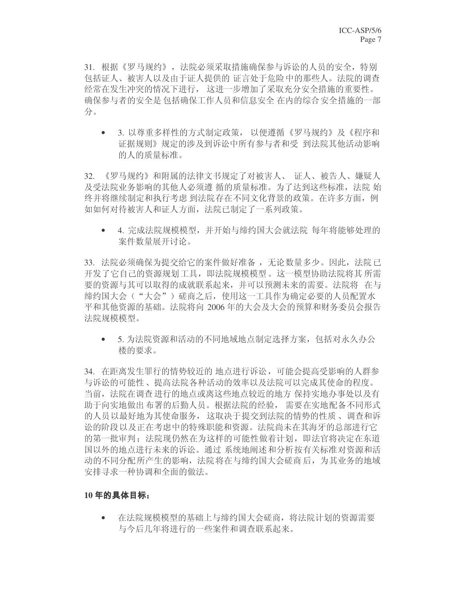31. 根据《罗马规约》,法院必须采取措施确保参与诉讼的人员的安全,特别 包括证人、被害人以及由于证人提供的 证言处于危险 中的那些人。法院的调查 经常在发生冲突的情况下进行, 这进一步增加了采取充分安全措施的重要性。 确保参与者的安全是包括确保工作人员和信息安全 在内的综合安全措施的一部 分。

• 3. 以尊重多样性的方式制定政策, 以便遵循《罗马规约》及《程序和 证据规则》规定的涉及到诉讼中所有参与者和受 到法院其他活动影响 的人的质量标准。

32. 《罗马规约》和附属的法律文书规定了对被害人、 证人、被告人、嫌疑人 及受法院业务影响的其他人必须遵 循的质量标准。为了达到这些标准,法院 始 终并将继续制定和执行考虑 到法院存在不同文化背景的政策。在许多方面, 例 如如何对待被害人和证人方面, 法院已制定了一系列政策。

• 4. 完成法院规模模型, 并开始与缔约国大会就法院 每年将能够处理的 案件数量展开讨论。

33. 法院必须确保为提交给它的案件做好准备,无论数量多少。因此,法院已 开发了它自己的资源规划工具,即法院规模模型。这一模型协助法院将其 所需 要的资源与其可以取得的成就联系起来,并可以预测未来的需要。法院将 在与 缔约国大会("大会")磋商之后,使用这一工具作为确定必要的人员配置水 平和其他资源的基础。法院将向 2006 年的大会及大会的预算和财务委员会报告 法院规模模型。

• 5. 为法院资源和活动的不同地域地点制定选择方案, 包括对永久办公 楼的要求。

34. 在距离发生罪行的情势较近的 地点进行诉讼, 可能会提高受影响的人群参 与诉讼的可能性、提高法院各种活动的效率以及法院可以完成其使命的程度。 当前, 法院在调查进行的地点或离这些地点较近的地方 保持实地办事处以及有 助于向实地做出 布署的后勤人员。根据法院的经验, 需要在实地配备不同形式 的人员以最好地为其使命服务, 这取决于提交到法院的情势的性质、调查和诉 讼的阶段以及正在考虑中的特殊职能和资源。法院尚未在其海牙的总部进行它 的第一批审判: 法院现仍然在为这样的可能性做着计划, 即法官将决定在东道 国以外的地点进行未来的诉讼。通过 系统地阐述 和分析按有关标准对资源和活 动的不同分配所产生的影响, 法院将在与缔约国大会磋商后, 为其业务的地域 安排寻求一种协调和全面的做法。

#### 10年的具体目标:

• 在法院规模模型的基础上与缔约国大会磋商, 将法院计划的资源需要 与今后几年将进行的一些案件和调杳联系起来。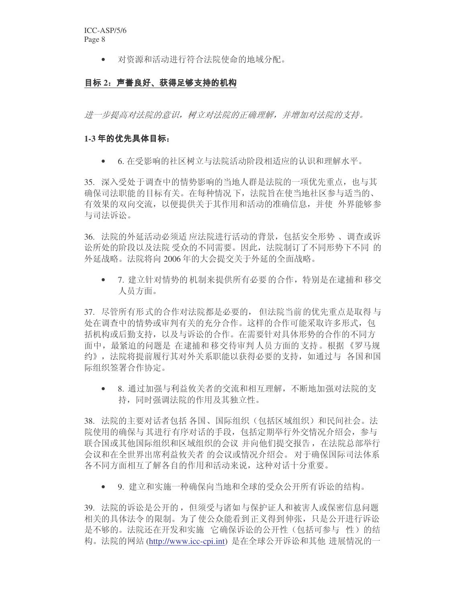• 对资源和活动进行符合法院使命的地域分配。

## 目标 2: 声誉良好、获得足够支持的机构

进一步提高对法院的意识,树立对法院的正确理解,并增加对法院的支持。

#### 1-3 年的优先具体目标:

• 6. 在受影响的社区树立与法院活动阶段相适应的认识和理解水平。

35. 深入受处于调杳中的情势影响的当地人群是法院的一项优先重点, 也与其 确保司法职能的目标有关。在每种情况下, 法院旨在使当地社区参与适当的、 有效果的双向交流,以便提供关于其作用和活动的准确信息,并使 外界能够参 与司法诉讼。

36. 法院的外延活动必须适 应法院进行活动的背景, 包括安全形势、调查或诉 讼所处的阶段以及法院 受众的不同需要。因此,法院制订了不同形势下不同 的 外延战略。法院将向 2006 年的大会提交关于外延的全面战略。

• 7. 建立针对情势的 机制来提供所有必要的合作, 特别是在逮捕和 移交 人员方面。

37. 尽管所有形式的合作对法院都是必要的, 但法院当前的优先重点是取得与 处在调查中的情势或审判有关的充分合作。这样的合作可能采取许多形式, 包 括机构或后勤支持, 以及与诉讼的合作。在需要针对具体形势的合作的不同方 面中, 最紧迫的问题是 在逮捕和移交待审判 人员方面的 支持。根据《罗马规 约》, 法院将提前履行其对外关系职能以获得必要的支持, 如通过与 各国和国 际组织签署合作协定。

• 8. 通过加强与利益攸关者的交流和相互理解, 不断地加强对法院的支 持,同时强调法院的作用及其独立性。

38. 法院的主要对话者包括各国、国际组织(包括区域组织)和民间社会。法 院使用的确保与其进行有序对话的手段, 包括定期举行外交情况介绍会, 参与 联合国或其他国际组织和区域组织的会议 并向他们提交报告, 在法院总部举行 会议和在全世界出席利益攸关者 的会议或情况介绍会。对于确保国际司法体系 各不同方面相互了解各自的作用和活动来说,这种对话十分重要。

• 9. 建立和实施一种确保向当地和全球的受众公开所有诉讼的结构。

39. 法院的诉讼是公开的, 但须受与诸如与保护证人和被害人或保密信息问题 相关的具体法令的限制。为了使公众能看到正义得到伸张,只是公开进行诉讼 是不够的。法院还在开发和实施 它确保诉讼的公开性(包括可参与 性)的结 构。法院的网站 (http://www.icc-cpi.int) 是在全球公开诉讼和其他 进展情况的一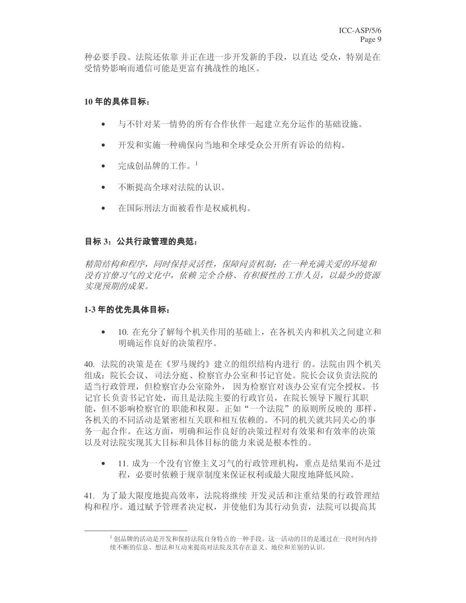种必要手段。法院还依靠 并正在进一步开发新的手段, 以直达 受众, 特别是在 受情势影响而通信可能是更富有挑战性的地区。

### 10年的具体目标:

- 与不针对某一情势的所有合作伙伴一起建立充分运作的基础设施。
- 开发和实施一种确保向当地和全球受众公开所有诉讼的结构。
- 宗成创品牌的工作。 $^1$
- 不断提高全球对法院的认识。
- 在国际刑法方面被看作是权威机构。

#### 目标 3: 公共行政管理的典范:

精简结构和程序,同时保持灵活性,保障问责机制;在一种充满关爱的环境和 没有官僚习气的文化中,依赖完全合格、有积极性的工作人员,以最少的资源 实现预期的成果。

#### 1-3年的优先具体目标:

10. 在充分了解每个机关作用的基础上, 在各机关内和机关之间建立和 明确运作良好的决策程序。

40. 法院的决策是在《罗马规约》建立的组织结构内进行 的。法院由四个机关 组成:院长会议、司法分庭、检察官办公室和书记官处。院长会议负责法院的 话当行政管理, 但检察官办公室除外, 因为检察官对该办公室有完全授权。书 记官长负责书记官处,而且是法院主要的行政官员, 在院长领导下履行其职 能, 但不影响检察官的 职能和权限。正如"一个法院"的原则所反映的 那样, 各机关的不同活动是紧密相互关联和相互依赖的。不同的机关就共同关心的事 务一起合作。在这方面,明确和运作良好的决策过程对有效果和有效率的决策 以及对法院实现其大目标和具体目标的能力来说是根本性的。

• 11. 成为一个没有官僚主义习气的行政管理机构, 重点是结果而不是过 程。必要时依赖于规章制度来保证权利或最大限度地降低风险。

41. 为了最大限度地提高效率, 法院将继续 开发灵活和注重结果的行政管理结 构和程序。通过赋予管理者决定权,并使他们为其行动负责,法院可以提高其

<sup>1</sup> 创品牌的活动是开发和保持法院自身特点的一种手段。这一活动的目的是通过在一段时间内持 续不断的信息、想法和互动来提高对法院及其存在意义、地位和差别的认识。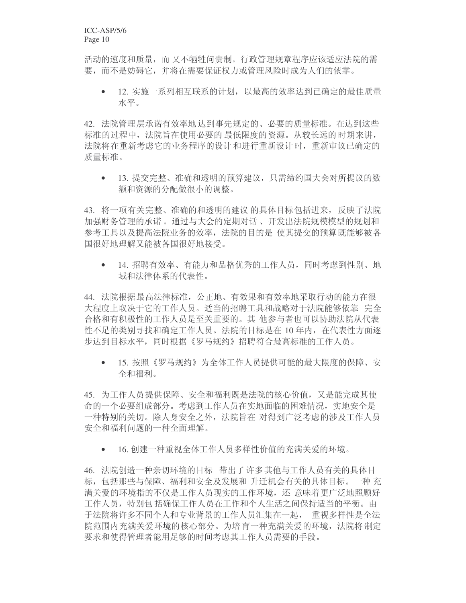活动的速度和质量, 而又不牺牲问责制。行政管理规章程序应该适应法院的需 要,而不是妨碍它,并将在需要保证权力或管理风险时成为人们的依靠。

• 12. 实施一系列相互联系的计划, 以最高的效率达到已确定的最佳质量 水平。

42. 法院管理层承诺有效率地达到事先规定的、必要的质量标准。在达到这些 标准的讨程中, 法院旨在使用必要的 最低限度的 资源。从较长远的时期来讲, 法院将在重新考虑它的业务程序的设计和进行重新设计时, 重新审议已确定的 质量标准。

• 13. 提交完整、准确和透明的预算建议, 只需缔约国大会对所提议的数 额和资源的分配做很小的调整。

43. 将一项有关完整、准确的和透明的建议 的具体目标包括进来, 反映了法院 加强财务管理的承诺。通过与大会的定期对话、开发出法院规模模型的规划和 参考工具以及提高法院业务的效率, 法院的目的是 使其提交的预算既能够被各 国很好地理解又能被各国很好地接受。

• 14. 招聘有效率、有能力和品格优秀的工作人员, 同时考虑到性别、地 域和法律体系的代表性。

44. 法院根据最高法律标准, 公正地、有效果和有效率地采取行动的能力在很 大程度上取决于它的工作人员。适当的招聘工具和战略对于法院能够依靠 完全 合格和有积极性的工作人员是至关重要的。其 他参与者也可以协助法院从代表 性不足的类别寻找和确定工作人员。法院的目标是在10年内, 在代表性方面逐 步达到目标水平, 同时根据《罗马规约》招聘符合最高标准的工作人员。

• 15. 按照《罗马规约》为全体工作人员提供可能的最大限度的保障、安 全和福利。

45. 为工作人员提供保障、安全和福利既是法院的核心价值, 又是能完成其使 命的一个必要组成部分。考虑到工作人员在实地面临的困难情况,实地安全是 一种特别的关切。除人身安全之外,法院旨在 对得到广泛考虑的涉及工作人员 安全和福利问题的一种全面理解。

• 16. 创建一种重视全体工作人员多样性价值的充满关爱的环境。

46. 法院创造一种亲切环境的目标 带出了许多其他与工作人员有关的具体目 标,包括那些与保障、福利和安全及发展和 升迁机会有关的具体目标。一种 充 满关爱的环境指的不仅是工作人员现实的工作环境,还 意味着更广泛地照顾好 工作人员,特别包括确保工作人员在工作和个人生活之间保持适当的平衡。由 于法院将许多不同个人和专业背景的工作人员汇集在一起, 重视多样性是全法 院范围内充满关爱环境的核心部分。为培育一种充满关爱的环境, 法院将制定 要求和使得管理者能用足够的时间考虑其工作人员需要的手段。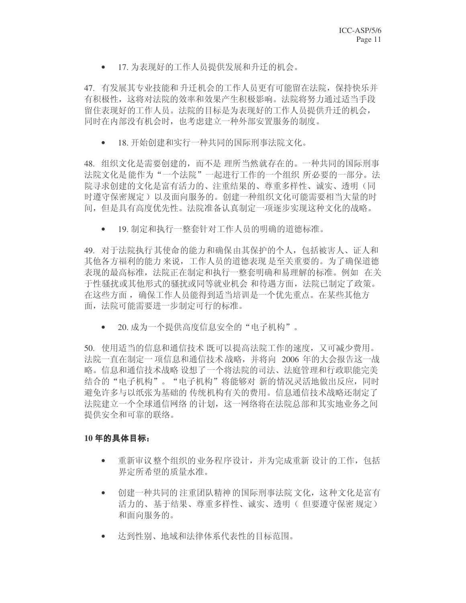• 17. 为表现好的工作人员提供发展和升迁的机会。

47. 有发展其专业技能和升迁机会的工作人员更有可能留在法院, 保持快乐并 有积极性, 这将对法院的效率和效果产生积极影响。法院将努力通过适当手段 留住表现好的工作人员。法院的目标是为表现好的工作人员提供升迁的机会, 同时在内部没有机会时, 也考虑建立一种外部安置服务的制度。

• 18. 开始创建和实行一种共同的国际刑事法院文化。

48. 组织文化是需要创建的, 而不是 理所当然就存在的。一种共同的国际刑事 法院文化是能作为"一个法院"一起进行工作的一个组织所所必要的一部分。法 院寻求创建的文化是富有活力的、注重结果的、尊重多样性、诚实、透明(同 时遵守保密规定)以及面向服务的。创建一种组织文化可能需要相当大量的时 间,但是具有高度优先性。法院准备认真制定一项逐步实现这种文化的战略。

• 19. 制定和执行一整套针对工作人员的明确的道德标准。

49. 对于法院执行其使命的能力和确保由其保护的个人, 包括被害人、证人和 其他各方福利的能力 来说,工作人员的道德表现 是至关重要的。为了确保道德 表现的最高标准,法院正在制定和执行一整套明确和易理解的标准。例如 在关 于性骚扰或其他形式的骚扰或同等就业机会 和待遇方面,法院已制定了政策。 在这些方面, 确保工作人员能得到适当培训是一个优先重点。在某些其他方 面, 法院可能需要进一步制定可行的标准。

• 20. 成为一个提供高度信息安全的"电子机构"。

50. 使用适当的信息和通信技术 既可以提高法院工作的速度,又可减少费用。 法院一直在制定一项信息和通信技术 战略,并将向 2006 年的大会报告这一战 略。信息和通信技术战略 设想了一个将法院的司法、法庭管理和行政职能完美 结合的"电子机构"。"电子机构"将能够对新的情况灵活地做出反应,同时 避免许多与以纸张为基础的 传统机构有关的费用。信息通信技术战略还制定了 法院建立一个全球通信网络的计划,这一网络将在法院总部和其实地业务之间 提供安全和可靠的联络。

#### 10年的具体目标:

- 重新审议 整个组织的 业务程序设计, 并为完成重新 设计的工作, 包括 界定所希望的质量水准。
- 创建一种共同的注重团队精神的国际刑事法院 文化,这种文化是富有 活力的、基于结果、尊重多样性、诚实、透明(但要遵守保密规定) 和面向服务的。
- 达到性别、地域和法律体系代表性的目标范围。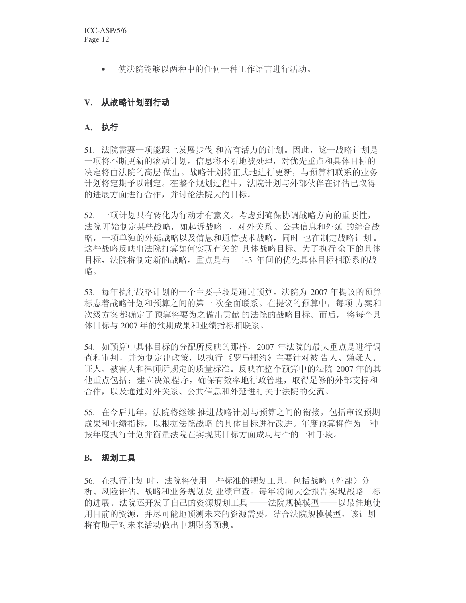● 使法院能够以两种中的任何一种工作语言进行活动。

### V. 从战略计划到行动

#### **A.**

51. 法院需要一项能跟上发展步伐 和富有活力的计划。因此,这一战略计划是 一项将不断申新的滚动计划。信息将不断地被处理,对优先重点和具体目标的 决定将由法院的高层做出。战略计划将正式地进行更新,与预算相联系的业务 计划将定期予以制定。在整个规划过程中,法院计划与外部伙伴在评估已取得 的进展方面进行合作,并讨论法院大的目标。

52. 一项计划只有转化为行动才有意义。考虑到确保协调战略方向的重要性, 法院开始制定某些战略, 如起诉战略、对外关系、公共信息和外延 的综合战 略, 一项单独的外延战略以及信息和通信技术战略, 同时 也在制定战略计划。 这些战略反映出法院打算如何实现有关的 具体战略目标。为了执行余下的具体 目标, 法院将制定新的战略, 重点是与 1-3 年间的优先具体目标相联系的战 略。

53. 每年执行战略计划的一个主要手段是通过预算。法院为 2007 年提议的预算 标志着战略计划和预算之间的第一 次全面联系。在提议的预算中,每项 方案和 次级方案都确定了预算将要为之做出贡献 的法院的战略目标。而后, 将每个具 体目标与 2007 年的预期成果和业绩指标相联系。

54. 如预算中具体目标的分配所反映的那样,2007 年法院的最大重点是进行调 杳和审判,并为制定出政策,以执行《罗马规约》主要针对被告人、嫌疑人、 证人、被害人和律师所规定的质量标准。反映在整个预算中的法院 2007 年的其 他重点包括: 建立决策程序,确保有效率地行政管理,取得足够的外部支持和 合作, 以及通过对外关系、公共信息和外延进行关于法院的交流。

55. 在今后几年,法院将继续 推进战略计划与预算之间的衔接,包括审议预期 成果和业绩指标,以根据法院战略 的具体目标进行改进。年度预算将作为一种 按年度执行计划并衡量法院在实现其目标方面成功与否的一种手段。

#### **B.** 规划工具

56. 在执行计划 时,法院将使用一些标准的规划工具,包括战略(外部)分 析、风险评估、战略和业务规划及 业绩审查。每年将向大会报告实现战略目标 的进展。法院还开发了自己的资源规划工具 ——法院规模模型——以最佳地使 用目前的资源,并尽可能地预测未来的资源需要。结合法院规模模型,该计划 将有助于对未来活动做出中期财务预测。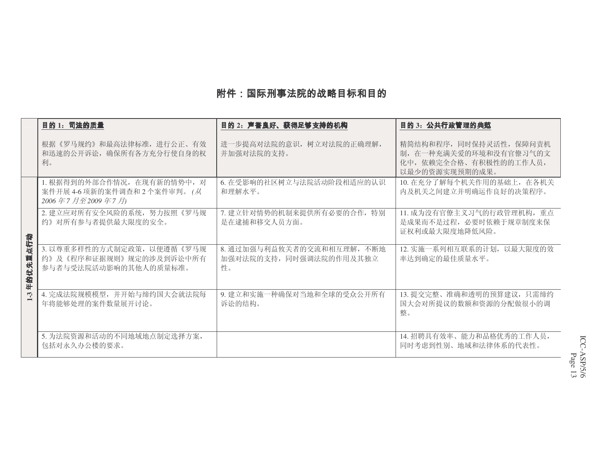## 附件:国际刑事法院的战略目标和目的

|                  | 目的 1: 司法的质量                                                                     | 目的 2: 声誉良好、获得足够支持的机构                                       | 目的 3: 公共行政管理的典范                                                                               |
|------------------|---------------------------------------------------------------------------------|------------------------------------------------------------|-----------------------------------------------------------------------------------------------|
|                  | 根据《罗马规约》和最高法律标准, 进行公正、有效<br>和迅速的公开诉讼,确保所有各方充分行使自身的权<br>利。                       | 进一步提高对法院的意识, 树立对法院的正确理解,<br>并加强对法院的支持。                     | 精简结构和程序, 同时保持灵活性, 保障问责机<br>制, 在一种充满关爱的环境和没有官僚习气的文<br>化中, 依赖完全合格、有积极性的的工作人员,<br>以最少的资源实现预期的成果。 |
|                  | 1. 根据得到的外部合作情况, 在现有新的情势中, 对<br>案件开展 4-6 项新的案件调查和 2 个案件审判。(从<br>2006年7月至2009年7月) | 6. 在受影响的社区树立与法院活动阶段相适应的认识<br>和理解水平。                        | 10. 在充分了解每个机关作用的基础上, 在各机关<br>内及机关之间建立并明确运作良好的决策程序。                                            |
|                  | 2. 建立应对所有安全风险的系统, 努力按照《罗马规<br>约》对所有参与者提供最大限度的安全。                                | 7. 建立针对情势的机制来提供所有必要的合作,特别<br>是在逮捕和移交人员方面。                  | 11. 成为没有官僚主义习气的行政管理机构, 重点<br>是成果而不是过程, 必要时依赖于规章制度来保<br>证权利或最大限度地降低风险。                         |
| 点行动<br>圃<br>年的优先 | 3. 以尊重多样性的方式制定政策,以便遵循《罗马规<br>约》及《程序和证据规则》规定的涉及到诉讼中所有<br>参与者与受法院活动影响的其他人的质量标准。   | 8. 通过加强与利益攸关者的交流和相互理解, 不断地<br>加强对法院的支持,同时强调法院的作用及其独立<br>性。 | 12. 实施一系列相互联系的计划, 以最大限度的效<br>率达到确定的最佳质量水平。                                                    |
| $1-3$            | 4. 完成法院规模模型, 并开始与缔约国大会就法院每<br>年将能够处理的案件数量展开讨论。                                  | 9. 建立和实施一种确保对当地和全球的受众公开所有<br>诉讼的结构。                        | 13. 提交完整、准确和透明的预算建议, 只需缔约<br>国大会对所提议的数额和资源的分配做很小的调<br>整。                                      |
|                  | 5. 为法院资源和活动的不同地域地点制定选择方案,<br>包括对永久办公楼的要求。                                       |                                                            | 14. 招聘具有效率、能力和品格优秀的工作人员,<br>同时考虑到性别、地域和法律体系的代表性。                                              |